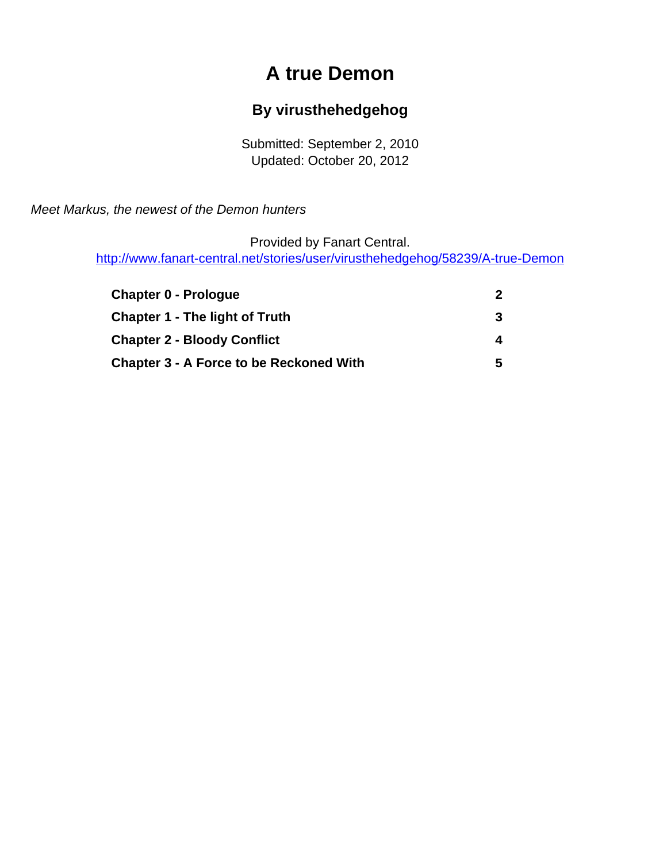# **A true Demon**

#### **By virusthehedgehog**

Submitted: September 2, 2010 Updated: October 20, 2012

<span id="page-0-0"></span>Meet Markus, the newest of the Demon hunters

Provided by Fanart Central.

[http://www.fanart-central.net/stories/user/virusthehedgehog/58239/A-true-Demon](#page-0-0)

| <b>Chapter 0 - Prologue</b>                    |  |
|------------------------------------------------|--|
| <b>Chapter 1 - The light of Truth</b>          |  |
| <b>Chapter 2 - Bloody Conflict</b>             |  |
| <b>Chapter 3 - A Force to be Reckoned With</b> |  |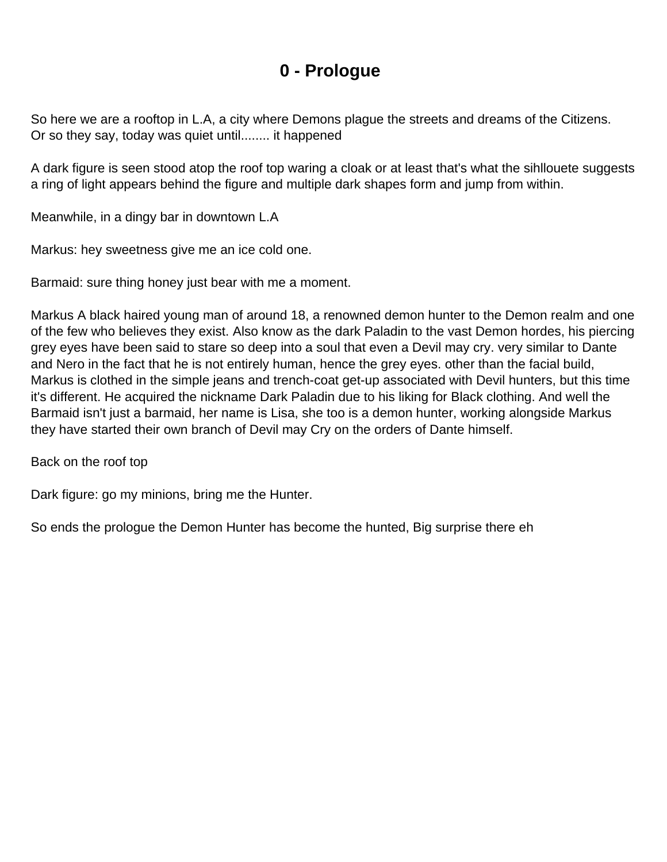#### **0 - Prologue**

<span id="page-1-0"></span>So here we are a rooftop in L.A, a city where Demons plague the streets and dreams of the Citizens. Or so they say, today was quiet until........ it happened

A dark figure is seen stood atop the roof top waring a cloak or at least that's what the sihllouete suggests a ring of light appears behind the figure and multiple dark shapes form and jump from within.

Meanwhile, in a dingy bar in downtown L.A

Markus: hey sweetness give me an ice cold one.

Barmaid: sure thing honey just bear with me a moment.

Markus A black haired young man of around 18, a renowned demon hunter to the Demon realm and one of the few who believes they exist. Also know as the dark Paladin to the vast Demon hordes, his piercing grey eyes have been said to stare so deep into a soul that even a Devil may cry. very similar to Dante and Nero in the fact that he is not entirely human, hence the grey eyes. other than the facial build, Markus is clothed in the simple jeans and trench-coat get-up associated with Devil hunters, but this time it's different. He acquired the nickname Dark Paladin due to his liking for Black clothing. And well the Barmaid isn't just a barmaid, her name is Lisa, she too is a demon hunter, working alongside Markus they have started their own branch of Devil may Cry on the orders of Dante himself.

Back on the roof top

Dark figure: go my minions, bring me the Hunter.

So ends the prologue the Demon Hunter has become the hunted, Big surprise there eh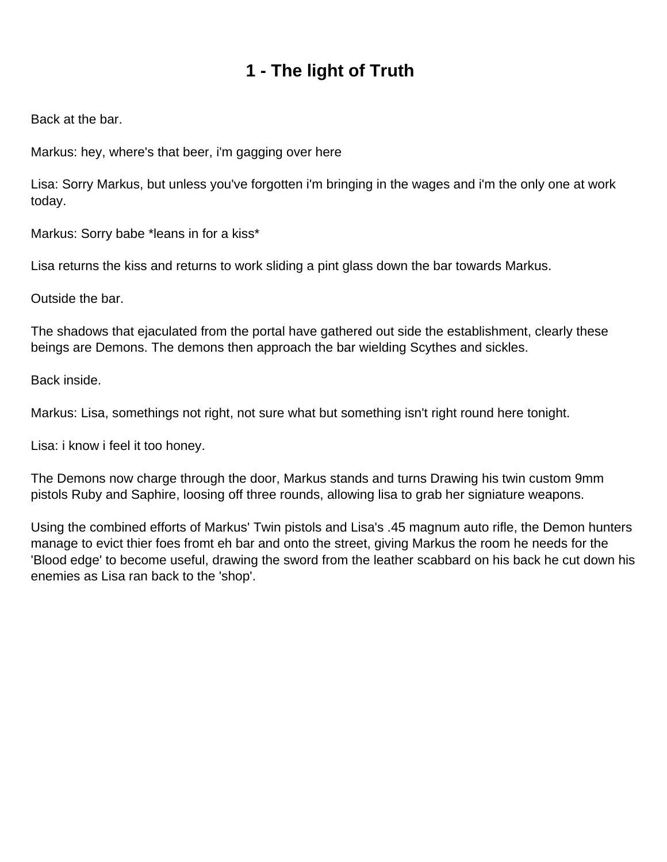## **1 - The light of Truth**

<span id="page-2-0"></span>Back at the bar.

Markus: hey, where's that beer, i'm gagging over here

Lisa: Sorry Markus, but unless you've forgotten i'm bringing in the wages and i'm the only one at work today.

Markus: Sorry babe \*leans in for a kiss\*

Lisa returns the kiss and returns to work sliding a pint glass down the bar towards Markus.

Outside the bar.

The shadows that ejaculated from the portal have gathered out side the establishment, clearly these beings are Demons. The demons then approach the bar wielding Scythes and sickles.

Back inside.

Markus: Lisa, somethings not right, not sure what but something isn't right round here tonight.

Lisa: i know i feel it too honey.

The Demons now charge through the door, Markus stands and turns Drawing his twin custom 9mm pistols Ruby and Saphire, loosing off three rounds, allowing lisa to grab her signiature weapons.

Using the combined efforts of Markus' Twin pistols and Lisa's .45 magnum auto rifle, the Demon hunters manage to evict thier foes fromt eh bar and onto the street, giving Markus the room he needs for the 'Blood edge' to become useful, drawing the sword from the leather scabbard on his back he cut down his enemies as Lisa ran back to the 'shop'.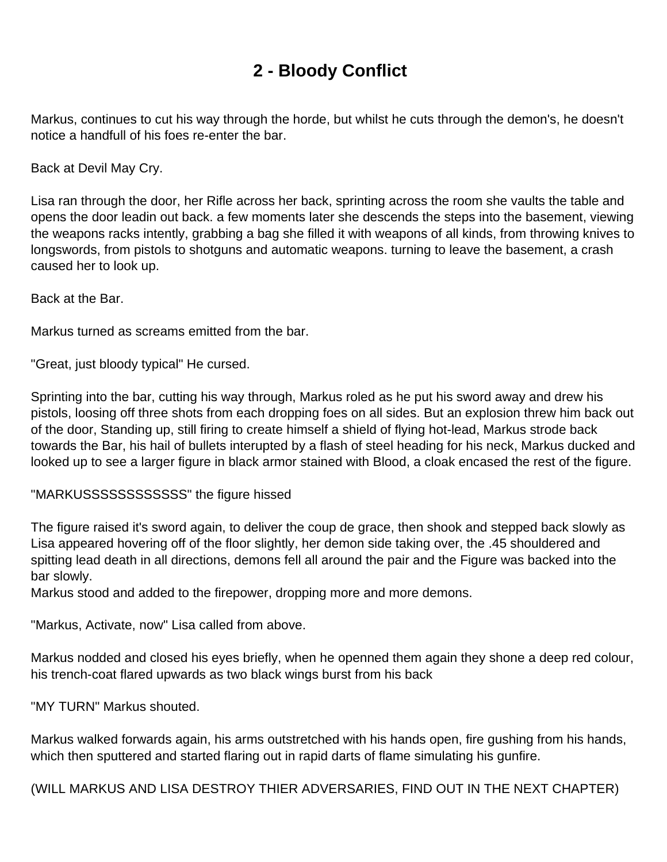## **2 - Bloody Conflict**

<span id="page-3-0"></span>Markus, continues to cut his way through the horde, but whilst he cuts through the demon's, he doesn't notice a handfull of his foes re-enter the bar.

Back at Devil May Cry.

Lisa ran through the door, her Rifle across her back, sprinting across the room she vaults the table and opens the door leadin out back. a few moments later she descends the steps into the basement, viewing the weapons racks intently, grabbing a bag she filled it with weapons of all kinds, from throwing knives to longswords, from pistols to shotguns and automatic weapons. turning to leave the basement, a crash caused her to look up.

Back at the Bar.

Markus turned as screams emitted from the bar.

"Great, just bloody typical" He cursed.

Sprinting into the bar, cutting his way through, Markus roled as he put his sword away and drew his pistols, loosing off three shots from each dropping foes on all sides. But an explosion threw him back out of the door, Standing up, still firing to create himself a shield of flying hot-lead, Markus strode back towards the Bar, his hail of bullets interupted by a flash of steel heading for his neck, Markus ducked and looked up to see a larger figure in black armor stained with Blood, a cloak encased the rest of the figure.

"MARKUSSSSSSSSSSSS" the figure hissed

The figure raised it's sword again, to deliver the coup de grace, then shook and stepped back slowly as Lisa appeared hovering off of the floor slightly, her demon side taking over, the .45 shouldered and spitting lead death in all directions, demons fell all around the pair and the Figure was backed into the bar slowly.

Markus stood and added to the firepower, dropping more and more demons.

"Markus, Activate, now" Lisa called from above.

Markus nodded and closed his eyes briefly, when he openned them again they shone a deep red colour, his trench-coat flared upwards as two black wings burst from his back

"MY TURN" Markus shouted.

Markus walked forwards again, his arms outstretched with his hands open, fire gushing from his hands, which then sputtered and started flaring out in rapid darts of flame simulating his gunfire.

(WILL MARKUS AND LISA DESTROY THIER ADVERSARIES, FIND OUT IN THE NEXT CHAPTER)